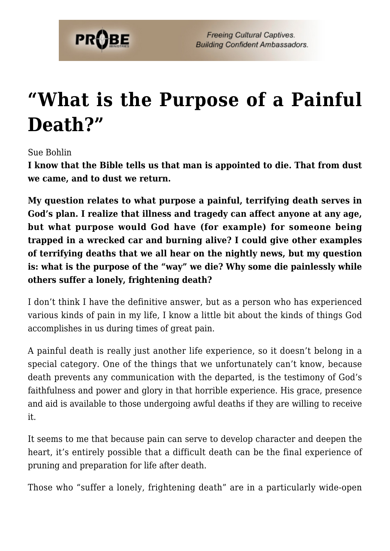

## **["What is the Purpose of a Painful](https://probe.org/what-is-the-purpose-of-a-painful-death-3/) [Death?"](https://probe.org/what-is-the-purpose-of-a-painful-death-3/)**

Sue Bohlin

**I know that the Bible tells us that man is appointed to die. That from dust we came, and to dust we return.**

**My question relates to what purpose a painful, terrifying death serves in God's plan. I realize that illness and tragedy can affect anyone at any age, but what purpose would God have (for example) for someone being trapped in a wrecked car and burning alive? I could give other examples of terrifying deaths that we all hear on the nightly news, but my question is: what is the purpose of the "way" we die? Why some die painlessly while others suffer a lonely, frightening death?**

I don't think I have the definitive answer, but as a person who has experienced various kinds of pain in my life, I know a little bit about the kinds of things God accomplishes in us during times of great pain.

A painful death is really just another life experience, so it doesn't belong in a special category. One of the things that we unfortunately can't know, because death prevents any communication with the departed, is the testimony of God's faithfulness and power and glory in that horrible experience. His grace, presence and aid is available to those undergoing awful deaths if they are willing to receive it.

It seems to me that because pain can serve to develop character and deepen the heart, it's entirely possible that a difficult death can be the final experience of pruning and preparation for life after death.

Those who "suffer a lonely, frightening death" are in a particularly wide-open